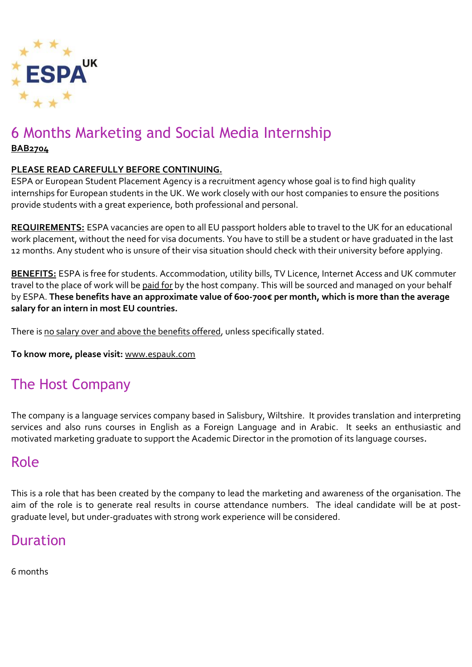

# 6 Months Marketing and Social Media Internship

**BAB2704**

#### **PLEASE READ CAREFULLY BEFORE CONTINUING.**

ESPA or European Student Placement Agency is a recruitment agency whose goal is to find high quality internships for European students in the UK. We work closely with our host companies to ensure the positions provide students with a great experience, both professional and personal.

**REQUIREMENTS:** ESPA vacancies are open to all EU passport holders able to travel to the UK for an educational work placement, without the need for visa documents. You have to still be a student or have graduated in the last 12 months. Any student who is unsure of their visa situation should check with their university before applying.

**BENEFITS:** ESPA is free for students. Accommodation, utility bills, TV Licence, Internet Access and UK commuter travel to the place of work will be paid for by the host company. This will be sourced and managed on your behalf by ESPA. **These benefits have an approximate value of 600-700€ per month, which is more than the average salary for an intern in most EU countries.**

There is no salary over and above the benefits offered, unless specifically stated.

**To know more, please visit:** [www.espauk.com](http://www.espauk.com/)

# The Host Company

The company is a language services company based in Salisbury, Wiltshire. It provides translation and interpreting services and also runs courses in English as a Foreign Language and in Arabic. It seeks an enthusiastic and motivated marketing graduate to support the Academic Director in the promotion of its language courses.

# Role

This is a role that has been created by the company to lead the marketing and awareness of the organisation. The aim of the role is to generate real results in course attendance numbers. The ideal candidate will be at postgraduate level, but under-graduates with strong work experience will be considered.

# Duration

6 months